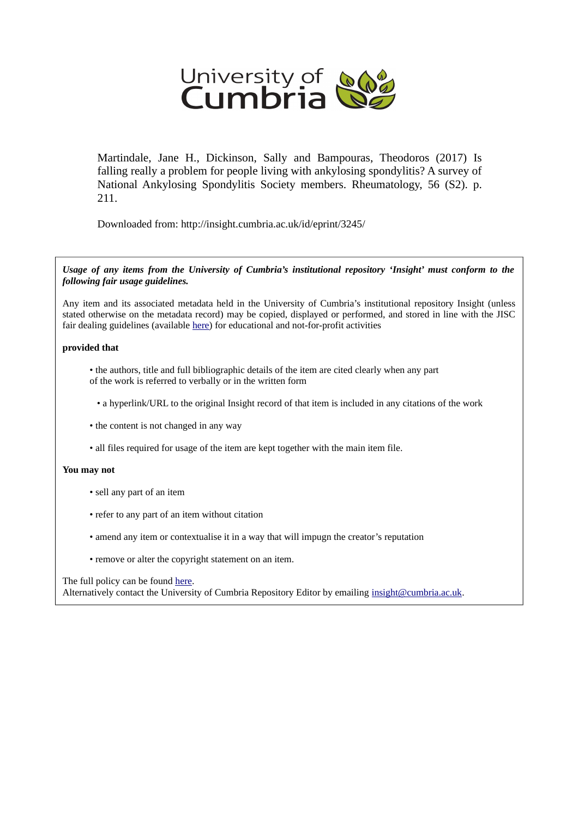

Martindale, Jane H., Dickinson, Sally and Bampouras, Theodoros (2017) Is falling really a problem for people living with ankylosing spondylitis? A survey of National Ankylosing Spondylitis Society members. Rheumatology, 56 (S2). p. 211.

Downloaded from: http://insight.cumbria.ac.uk/id/eprint/3245/

*Usage of any items from the University of Cumbria's institutional repository 'Insight' must conform to the following fair usage guidelines.*

Any item and its associated metadata held in the University of Cumbria's institutional repository Insight (unless stated otherwise on the metadata record) may be copied, displayed or performed, and stored in line with the JISC fair dealing guidelines (available [here\)](http://www.ukoln.ac.uk/services/elib/papers/pa/fair/) for educational and not-for-profit activities

## **provided that**

• the authors, title and full bibliographic details of the item are cited clearly when any part of the work is referred to verbally or in the written form

• a hyperlink/URL to the original Insight record of that item is included in any citations of the work

- the content is not changed in any way
- all files required for usage of the item are kept together with the main item file.

## **You may not**

- sell any part of an item
- refer to any part of an item without citation
- amend any item or contextualise it in a way that will impugn the creator's reputation
- remove or alter the copyright statement on an item.

## The full policy can be found [here.](http://insight.cumbria.ac.uk/legal.html#section5)

Alternatively contact the University of Cumbria Repository Editor by emailing [insight@cumbria.ac.uk.](mailto:insight@cumbria.ac.uk)